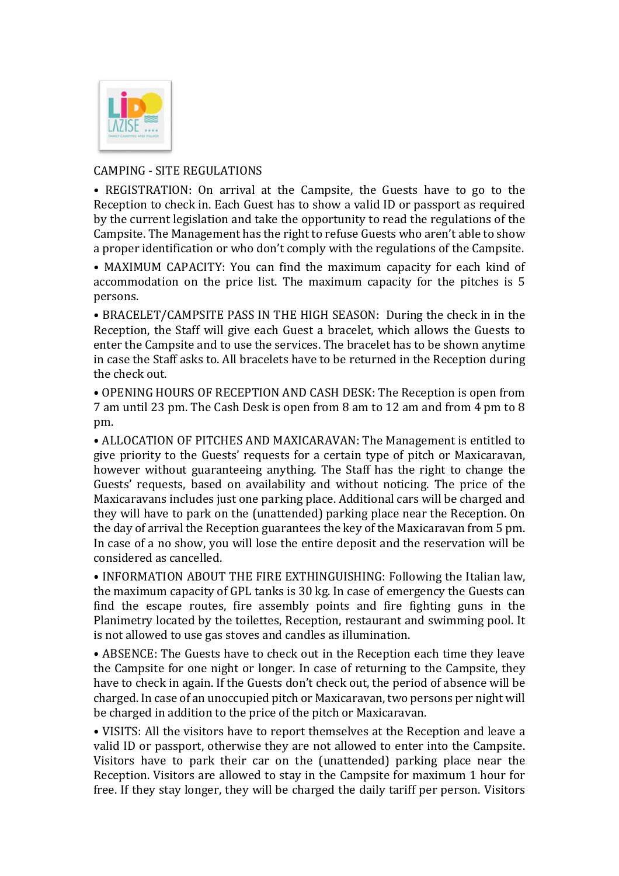

## CAMPING - SITE REGULATIONS

• REGISTRATION: On arrival at the Campsite, the Guests have to go to the Reception to check in. Each Guest has to show a valid ID or passport as required by the current legislation and take the opportunity to read the regulations of the Campsite. The Management has the right to refuse Guests who aren't able to show a proper identification or who don't comply with the regulations of the Campsite.

• MAXIMUM CAPACITY: You can find the maximum capacity for each kind of accommodation on the price list. The maximum capacity for the pitches is 5 persons.

• BRACELET/CAMPSITE PASS IN THE HIGH SEASON: During the check in in the Reception, the Staff will give each Guest a bracelet, which allows the Guests to enter the Campsite and to use the services. The bracelet has to be shown anytime in case the Staff asks to. All bracelets have to be returned in the Reception during the check out.

• OPENING HOURS OF RECEPTION AND CASH DESK: The Reception is open from 7 am until 23 pm. The Cash Desk is open from 8 am to 12 am and from 4 pm to 8 pm.

• ALLOCATION OF PITCHES AND MAXICARAVAN: The Management is entitled to give priority to the Guests' requests for a certain type of pitch or Maxicaravan, however without guaranteeing anything. The Staff has the right to change the Guests' requests, based on availability and without noticing. The price of the Maxicaravans includes just one parking place. Additional cars will be charged and they will have to park on the (unattended) parking place near the Reception. On the day of arrival the Reception guarantees the key of the Maxicaravan from 5 pm. In case of a no show, you will lose the entire deposit and the reservation will be considered as cancelled.

• INFORMATION ABOUT THE FIRE EXTHINGUISHING: Following the Italian law, the maximum capacity of GPL tanks is 30 kg. In case of emergency the Guests can find the escape routes, fire assembly points and fire fighting guns in the Planimetry located by the toilettes, Reception, restaurant and swimming pool. It is not allowed to use gas stoves and candles as illumination.

• ABSENCE: The Guests have to check out in the Reception each time they leave the Campsite for one night or longer. In case of returning to the Campsite, they have to check in again. If the Guests don't check out, the period of absence will be charged. In case of an unoccupied pitch or Maxicaravan, two persons per night will be charged in addition to the price of the pitch or Maxicaravan.

• VISITS: All the visitors have to report themselves at the Reception and leave a valid ID or passport, otherwise they are not allowed to enter into the Campsite. Visitors have to park their car on the (unattended) parking place near the Reception. Visitors are allowed to stay in the Campsite for maximum 1 hour for free. If they stay longer, they will be charged the daily tariff per person. Visitors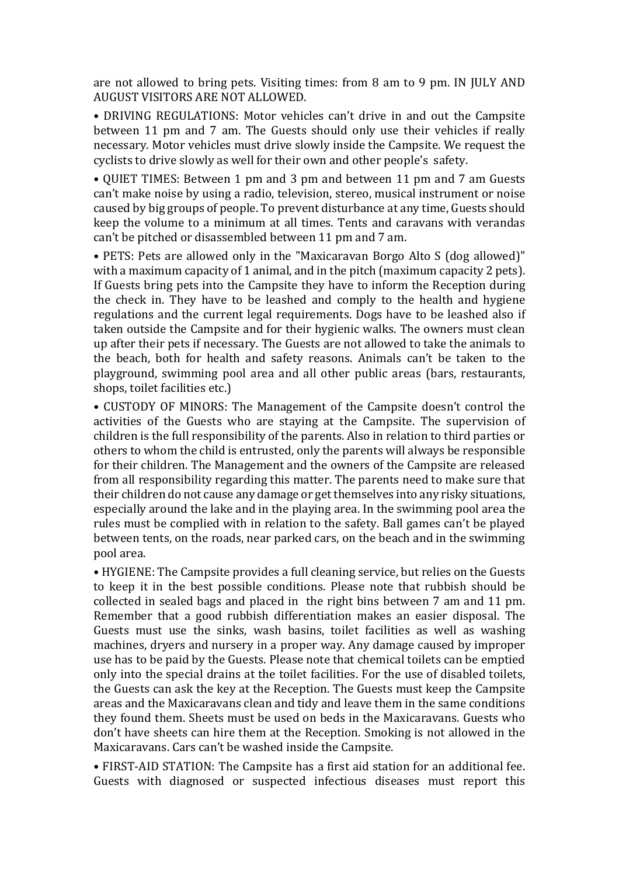are not allowed to bring pets. Visiting times: from 8 am to 9 pm. IN JULY AND AUGUST VISITORS ARE NOT ALLOWED.

• DRIVING REGULATIONS: Motor vehicles can't drive in and out the Campsite between 11 pm and 7 am. The Guests should only use their vehicles if really necessary. Motor vehicles must drive slowly inside the Campsite. We request the cyclists to drive slowly as well for their own and other people's safety.

• QUIET TIMES: Between 1 pm and 3 pm and between 11 pm and 7 am Guests can't make noise by using a radio, television, stereo, musical instrument or noise caused by big groups of people. To prevent disturbance at any time, Guests should keep the volume to a minimum at all times. Tents and caravans with verandas can't be pitched or disassembled between 11 pm and 7 am.

• PETS: Pets are allowed only in the "Maxicaravan Borgo Alto S (dog allowed)" with a maximum capacity of 1 animal, and in the pitch (maximum capacity 2 pets). If Guests bring pets into the Campsite they have to inform the Reception during the check in. They have to be leashed and comply to the health and hygiene regulations and the current legal requirements. Dogs have to be leashed also if taken outside the Campsite and for their hygienic walks. The owners must clean up after their pets if necessary. The Guests are not allowed to take the animals to the beach, both for health and safety reasons. Animals can't be taken to the playground, swimming pool area and all other public areas (bars, restaurants, shops, toilet facilities etc.)

• CUSTODY OF MINORS: The Management of the Campsite doesn't control the activities of the Guests who are staying at the Campsite. The supervision of children is the full responsibility of the parents. Also in relation to third parties or others to whom the child is entrusted, only the parents will always be responsible for their children. The Management and the owners of the Campsite are released from all responsibility regarding this matter. The parents need to make sure that their children do not cause any damage or get themselves into any risky situations, especially around the lake and in the playing area. In the swimming pool area the rules must be complied with in relation to the safety. Ball games can't be played between tents, on the roads, near parked cars, on the beach and in the swimming pool area.

• HYGIENE: The Campsite provides a full cleaning service, but relies on the Guests to keep it in the best possible conditions. Please note that rubbish should be collected in sealed bags and placed in the right bins between 7 am and 11 pm. Remember that a good rubbish differentiation makes an easier disposal. The Guests must use the sinks, wash basins, toilet facilities as well as washing machines, dryers and nursery in a proper way. Any damage caused by improper use has to be paid by the Guests. Please note that chemical toilets can be emptied only into the special drains at the toilet facilities. For the use of disabled toilets, the Guests can ask the key at the Reception. The Guests must keep the Campsite areas and the Maxicaravans clean and tidy and leave them in the same conditions they found them. Sheets must be used on beds in the Maxicaravans. Guests who don't have sheets can hire them at the Reception. Smoking is not allowed in the Maxicaravans. Cars can't be washed inside the Campsite.

• FIRST-AID STATION: The Campsite has a first aid station for an additional fee. Guests with diagnosed or suspected infectious diseases must report this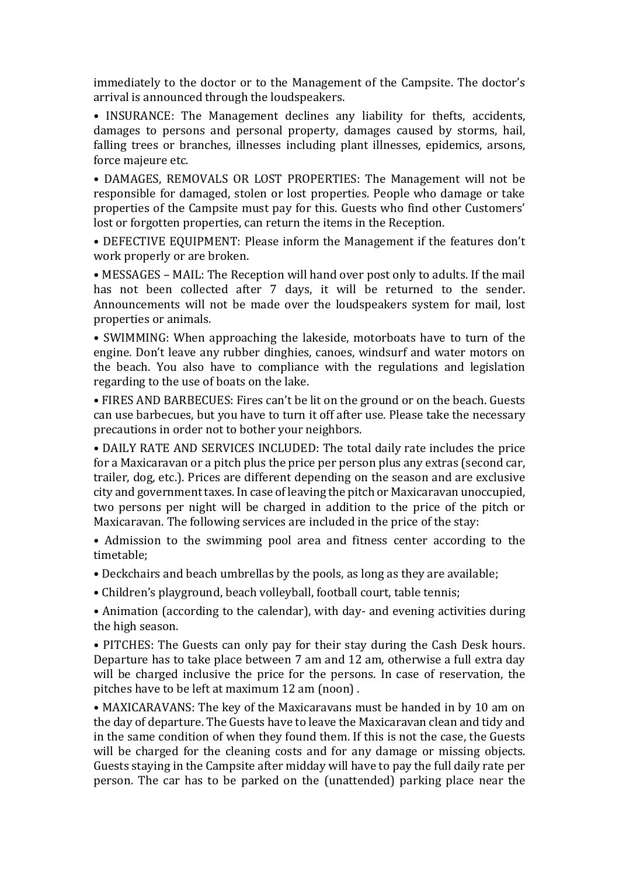immediately to the doctor or to the Management of the Campsite. The doctor's arrival is announced through the loudspeakers.

• INSURANCE: The Management declines any liability for thefts, accidents, damages to persons and personal property, damages caused by storms, hail, falling trees or branches, illnesses including plant illnesses, epidemics, arsons, force majeure etc.

• DAMAGES, REMOVALS OR LOST PROPERTIES: The Management will not be responsible for damaged, stolen or lost properties. People who damage or take properties of the Campsite must pay for this. Guests who find other Customers' lost or forgotten properties, can return the items in the Reception.

• DEFECTIVE EQUIPMENT: Please inform the Management if the features don't work properly or are broken.

• MESSAGES – MAIL: The Reception will hand over post only to adults. If the mail has not been collected after 7 days, it will be returned to the sender. Announcements will not be made over the loudspeakers system for mail, lost properties or animals.

• SWIMMING: When approaching the lakeside, motorboats have to turn of the engine. Don't leave any rubber dinghies, canoes, windsurf and water motors on the beach. You also have to compliance with the regulations and legislation regarding to the use of boats on the lake.

• FIRES AND BARBECUES: Fires can't be lit on the ground or on the beach. Guests can use barbecues, but you have to turn it off after use. Please take the necessary precautions in order not to bother your neighbors.

• DAILY RATE AND SERVICES INCLUDED: The total daily rate includes the price for a Maxicaravan or a pitch plus the price per person plus any extras (second car, trailer, dog, etc.). Prices are different depending on the season and are exclusive city and government taxes. In case of leaving the pitch or Maxicaravan unoccupied, two persons per night will be charged in addition to the price of the pitch or Maxicaravan. The following services are included in the price of the stay:

• Admission to the swimming pool area and fitness center according to the timetable;

• Deckchairs and beach umbrellas by the pools, as long as they are available;

• Children's playground, beach volleyball, football court, table tennis;

• Animation (according to the calendar), with day- and evening activities during the high season.

• PITCHES: The Guests can only pay for their stay during the Cash Desk hours. Departure has to take place between 7 am and 12 am, otherwise a full extra day will be charged inclusive the price for the persons. In case of reservation, the pitches have to be left at maximum 12 am (noon) .

• MAXICARAVANS: The key of the Maxicaravans must be handed in by 10 am on the day of departure. The Guests have to leave the Maxicaravan clean and tidy and in the same condition of when they found them. If this is not the case, the Guests will be charged for the cleaning costs and for any damage or missing objects. Guests staying in the Campsite after midday will have to pay the full daily rate per person. The car has to be parked on the (unattended) parking place near the